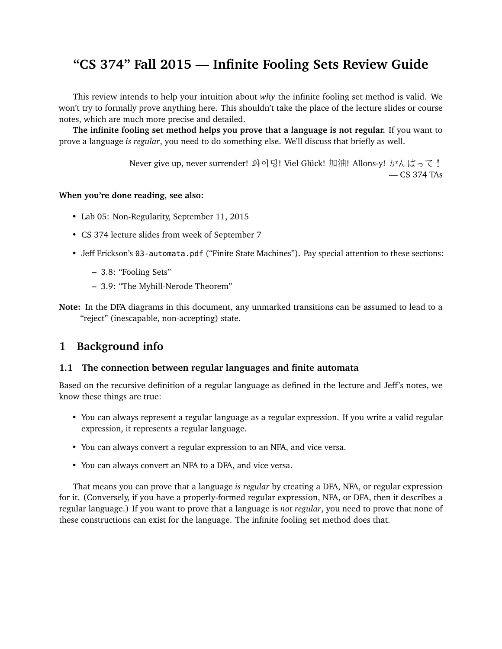# **"CS 374" Fall 2015 — Infinite Fooling Sets Review Guide**

This review intends to help your intuition about *why* the infinite fooling set method is valid. We won't try to formally prove anything here. This shouldn't take the place of the lecture slides or course notes, which are much more precise and detailed.

**The infinite fooling set method helps you prove that a language is not regular.** If you want to prove a language *is regular*, you need to do something else. We'll discuss that briefly as well.

> Never give up, never surrender! 화이팅! Viel Glück! 加油! Allons-y! がんばって! — CS 374 TAs

# **When you're done reading, see also:**

- Lab 05: Non-Regularity, September 11, 2015
- CS 374 lecture slides from week of September 7
- Jeff Erickson's 03-automata.pdf ("Finite State Machines"). Pay special attention to these sections:
	- **–** 3.8: "Fooling Sets"
	- **–** 3.9: "The Myhill-Nerode Theorem"
- **Note:** In the DFA diagrams in this document, any unmarked transitions can be assumed to lead to a "reject" (inescapable, non-accepting) state.

# **1 Background info**

#### **1.1 The connection between regular languages and finite automata**

Based on the recursive definition of a regular language as defined in the lecture and Jeff's notes, we know these things are true:

- You can always represent a regular language as a regular expression. If you write a valid regular expression, it represents a regular language.
- You can always convert a regular expression to an NFA, and vice versa.
- You can always convert an NFA to a DFA, and vice versa.

That means you can prove that a language *is regular* by creating a DFA, NFA, or regular expression for it. (Conversely, if you have a properly-formed regular expression, NFA, or DFA, then it describes a regular language.) If you want to prove that a language is *not regular*, you need to prove that none of these constructions can exist for the language. The infinite fooling set method does that.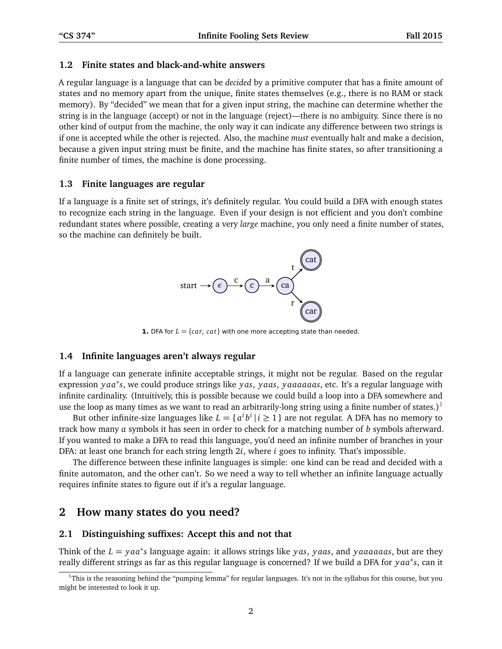#### **1.2 Finite states and black-and-white answers**

A regular language is a language that can be *decided* by a primitive computer that has a finite amount of states and no memory apart from the unique, finite states themselves (e.g., there is no RAM or stack memory). By "decided" we mean that for a given input string, the machine can determine whether the string is in the language (accept) or not in the language (reject)—there is no ambiguity. Since there is no other kind of output from the machine, the only way it can indicate any difference between two strings is if one is accepted while the other is rejected. Also, the machine *must* eventually halt and make a decision, because a given input string must be finite, and the machine has finite states, so after transitioning a finite number of times, the machine is done processing.

### **1.3 Finite languages are regular**

If a language is a finite set of strings, it's definitely regular. You could build a DFA with enough states to recognize each string in the language. Even if your design is not efficient and you don't combine redundant states where possible, creating a very *large* machine, you only need a finite number of states, so the machine can definitely be built.



**1.** DFA for  $L = \{car, cat\}$  with one more accepting state than needed.

### **1.4 Infinite languages aren't always regular**

If a language can generate infinite acceptable strings, it might not be regular. Based on the regular expression *y aa*<sup>∗</sup> *s*, we could produce strings like *y as*, *y aas*, *y aaaaaas*, etc. It's a regular language with infinite cardinality. (Intuitively, this is possible because we could build a loop into a DFA somewhere and use the loop as many times as we want to read an arbitrarily-long string using a finite number of states.)<sup>[1](#page-1-0)</sup>

But other infinite-size languages like  $L = \{ \, a^i \, b^i \, | \, i \geq 1 \, \}$  are not regular. A DFA has no memory to track how many *a* symbols it has seen in order to check for a matching number of *b* symbols afterward. If you wanted to make a DFA to read this language, you'd need an infinite number of branches in your DFA: at least one branch for each string length 2*i*, where *i* goes to infinity. That's impossible.

The difference between these infinite languages is simple: one kind can be read and decided with a finite automaton, and the other can't. So we need a way to tell whether an infinite language actually requires infinite states to figure out if it's a regular language.

# **2 How many states do you need?**

#### **2.1 Distinguishing suffixes: Accept this and not that**

Think of the *<sup>L</sup>* <sup>=</sup> *y aa*<sup>∗</sup> *s* language again: it allows strings like *y as*, *y aas*, and *y aaaaaas*, but are they really different strings as far as this regular language is concerned? If we build a DFA for *y aa*<sup>∗</sup> *s*, can it

<span id="page-1-0"></span><sup>&</sup>lt;sup>1</sup>This is the reasoning behind the "pumping lemma" for regular languages. It's not in the syllabus for this course, but you might be interested to look it up.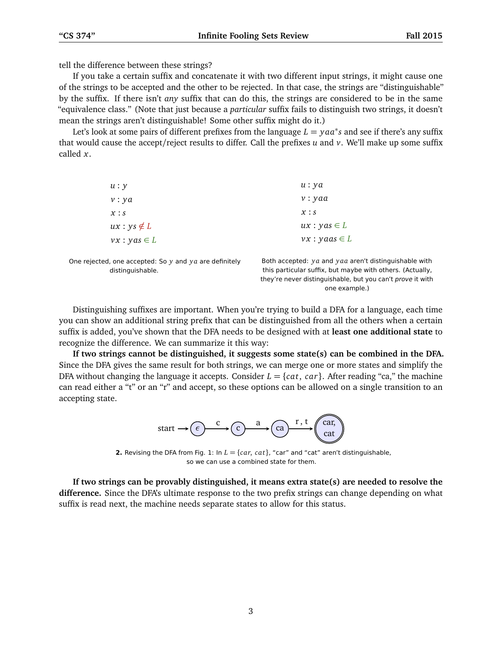tell the difference between these strings?

If you take a certain suffix and concatenate it with two different input strings, it might cause one of the strings to be accepted and the other to be rejected. In that case, the strings are "distinguishable" by the suffix. If there isn't *any* suffix that can do this, the strings are considered to be in the same "equivalence class." (Note that just because a *particular* suffix fails to distinguish two strings, it doesn't mean the strings aren't distinguishable! Some other suffix might do it.)

Let's look at some pairs of different prefixes from the language  $L = y a a^* s$  and see if there's any suffix that would cause the accept/reject results to differ. Call the prefixes *u* and *v*. We'll make up some suffix called *x*.

| u : y                                            | u : ya                        |
|--------------------------------------------------|-------------------------------|
| v: ya                                            | v: yaa                        |
| x : s                                            | x : s                         |
| $ux: ys \notin L$                                | $ux: yas \in L$               |
| $vx: yas \in L$                                  | $vx: y$ aas $\in L$           |
| ected, one accepted: So y and y a are definitely | Both accepted: ya and yaa are |

One reje distinguishable.

Both accepted: *y a* and *y aa* aren't distinguishable with this particular suffix, but maybe with others. (Actually, they're never distinguishable, but you can't prove it with one example.)

Distinguishing suffixes are important. When you're trying to build a DFA for a language, each time you can show an additional string prefix that can be distinguished from all the others when a certain suffix is added, you've shown that the DFA needs to be designed with at **least one additional state** to recognize the difference. We can summarize it this way:

**If two strings cannot be distinguished, it suggests some state(s) can be combined in the DFA.** Since the DFA gives the same result for both strings, we can merge one or more states and simplify the DFA without changing the language it accepts. Consider  $L = \{cat, car\}$ . After reading "ca," the machine can read either a "t" or an "r" and accept, so these options can be allowed on a single transition to an accepting state.



**2.** Revising the DFA from Fig. 1: In  $L = \{car, cat\}$ , "car" and "cat" aren't distinguishable, so we can use a combined state for them.

**If two strings can be provably distinguished, it means extra state(s) are needed to resolve the difference.** Since the DFA's ultimate response to the two prefix strings can change depending on what suffix is read next, the machine needs separate states to allow for this status.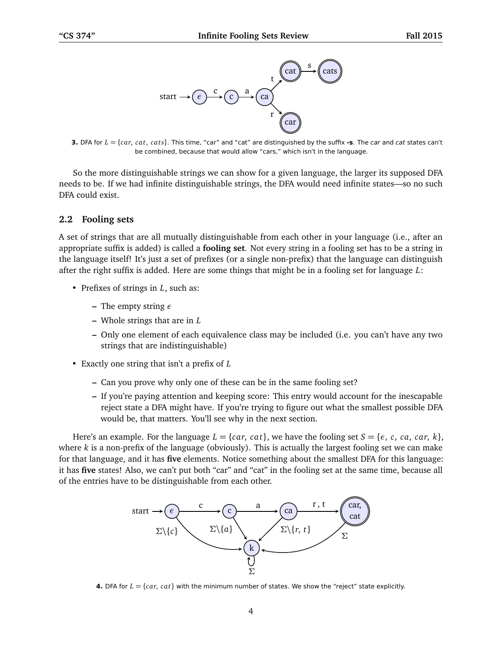

**3.** DFA for  $L = \{car, cat, cats\}$ . This time, "car" and "cat" are distinguished by the suffix **-s**. The *car* and *cat* states can't be combined, because that would allow "cars," which isn't in the language.

So the more distinguishable strings we can show for a given language, the larger its supposed DFA needs to be. If we had infinite distinguishable strings, the DFA would need infinite states—so no such DFA could exist.

#### **2.2 Fooling sets**

A set of strings that are all mutually distinguishable from each other in your language (i.e., after an appropriate suffix is added) is called a **fooling set**. Not every string in a fooling set has to be a string in the language itself! It's just a set of prefixes (or a single non-prefix) that the language can distinguish after the right suffix is added. Here are some things that might be in a fooling set for language *L*:

- Prefixes of strings in *L*, such as:
	- **–** The empty string *ε*
	- **–** Whole strings that are in *L*
	- **–** Only one element of each equivalence class may be included (i.e. you can't have any two strings that are indistinguishable)
- Exactly one string that isn't a prefix of *L*
	- **–** Can you prove why only one of these can be in the same fooling set?
	- **–** If you're paying attention and keeping score: This entry would account for the inescapable reject state a DFA might have. If you're trying to figure out what the smallest possible DFA would be, that matters. You'll see why in the next section.

Here's an example. For the language  $L = \{car, cat\}$ , we have the fooling set  $S = \{e, c, ca, car, k\}$ , where *k* is a non-prefix of the language (obviously). This is actually the largest fooling set we can make for that language, and it has **five** elements. Notice something about the smallest DFA for this language: it has **five** states! Also, we can't put both "car" and "cat" in the fooling set at the same time, because all of the entries have to be distinguishable from each other.



**4.** DFA for  $L = \{car, cat\}$  with the minimum number of states. We show the "reject" state explicitly.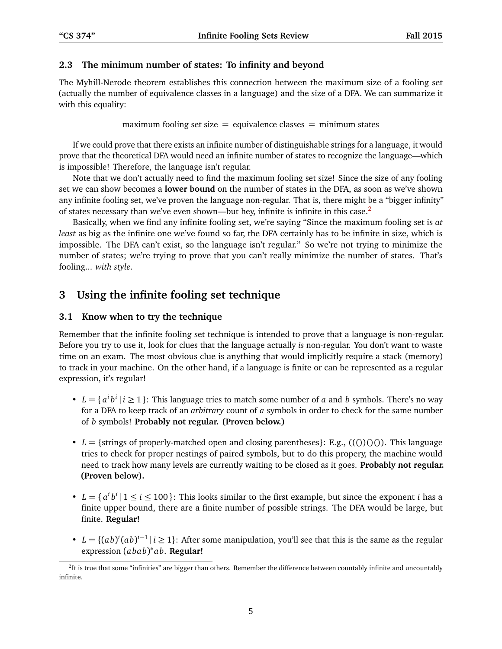## **2.3 The minimum number of states: To infinity and beyond**

The Myhill-Nerode theorem establishes this connection between the maximum size of a fooling set (actually the number of equivalence classes in a language) and the size of a DFA. We can summarize it with this equality:

maximum fooling set size  $=$  equivalence classes  $=$  minimum states

If we could prove that there exists an infinite number of distinguishable strings for a language, it would prove that the theoretical DFA would need an infinite number of states to recognize the language—which is impossible! Therefore, the language isn't regular.

Note that we don't actually need to find the maximum fooling set size! Since the size of any fooling set we can show becomes a **lower bound** on the number of states in the DFA, as soon as we've shown any infinite fooling set, we've proven the language non-regular. That is, there might be a "bigger infinity" of states necessary than we've even shown—but hey, infinite is infinite in this case. $2$ 

Basically, when we find any infinite fooling set, we're saying "Since the maximum fooling set is *at least* as big as the infinite one we've found so far, the DFA certainly has to be infinite in size, which is impossible. The DFA can't exist, so the language isn't regular." So we're not trying to minimize the number of states; we're trying to prove that you can't really minimize the number of states. That's fooling... *with style*.

# **3 Using the infinite fooling set technique**

# **3.1 Know when to try the technique**

Remember that the infinite fooling set technique is intended to prove that a language is non-regular. Before you try to use it, look for clues that the language actually *is* non-regular. You don't want to waste time on an exam. The most obvious clue is anything that would implicitly require a stack (memory) to track in your machine. On the other hand, if a language is finite or can be represented as a regular expression, it's regular!

- $L = \{a^i b^i | i \ge 1\}$ : This language tries to match some number of *a* and *b* symbols. There's no way for a DFA to keep track of an *arbitrary* count of *a* symbols in order to check for the same number of *b* symbols! **Probably not regular. (Proven below.)**
- $L = {$ strings of properly-matched open and closing parentheses}: E.g.,  $((()))()$ . This languagetries to check for proper nestings of paired symbols, but to do this propery, the machine would need to track how many levels are currently waiting to be closed as it goes. **Probably not regular. (Proven below).**
- $L = \{a^i b^i | 1 \le i \le 100\}$ : This looks similar to the first example, but since the exponent *i* has a finite upper bound, there are a finite number of possible strings. The DFA would be large, but finite. **Regular!**
- $L = \{(ab)^i (ab)^{i-1} | i \geq 1\}$ : After some manipulation, you'll see that this is the same as the regular expression (*abab*) ∗ *ab*. **Regular!**

<span id="page-4-0"></span> ${}^{2}$ It is true that some "infinities" are bigger than others. Remember the difference between countably infinite and uncountably infinite.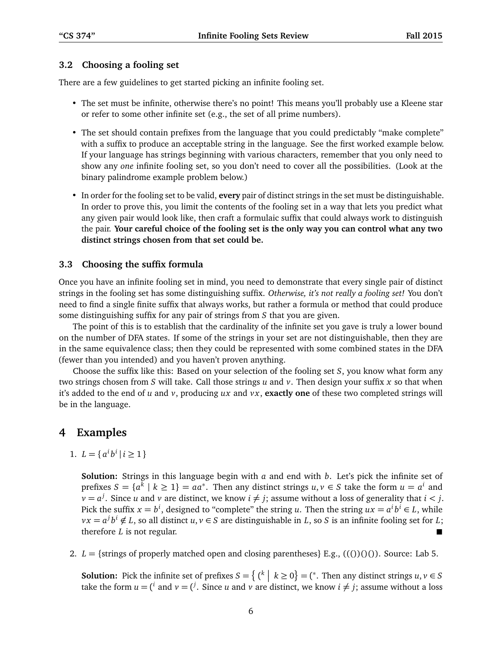#### **3.2 Choosing a fooling set**

There are a few guidelines to get started picking an infinite fooling set.

- The set must be infinite, otherwise there's no point! This means you'll probably use a Kleene star or refer to some other infinite set (e.g., the set of all prime numbers).
- The set should contain prefixes from the language that you could predictably "make complete" with a suffix to produce an acceptable string in the language. See the first worked example below. If your language has strings beginning with various characters, remember that you only need to show any *one* infinite fooling set, so you don't need to cover all the possibilities. (Look at the binary palindrome example problem below.)
- In order for the fooling set to be valid, **every** pair of distinct strings in the set must be distinguishable. In order to prove this, you limit the contents of the fooling set in a way that lets you predict what any given pair would look like, then craft a formulaic suffix that could always work to distinguish the pair. **Your careful choice of the fooling set is the only way you can control what any two distinct strings chosen from that set could be.**

#### **3.3 Choosing the suffix formula**

Once you have an infinite fooling set in mind, you need to demonstrate that every single pair of distinct strings in the fooling set has some distinguishing suffix. *Otherwise, it's not really a fooling set!* You don't need to find a single finite suffix that always works, but rather a formula or method that could produce some distinguishing suffix for any pair of strings from *S* that you are given.

The point of this is to establish that the cardinality of the infinite set you gave is truly a lower bound on the number of DFA states. If some of the strings in your set are not distinguishable, then they are in the same equivalence class; then they could be represented with some combined states in the DFA (fewer than you intended) and you haven't proven anything.

Choose the suffix like this: Based on your selection of the fooling set *S*, you know what form any two strings chosen from *S* will take. Call those strings *u* and *v*. Then design your suffix *x* so that when it's added to the end of *u* and  $v$ , producing  $ux$  and  $vx$ , **exactly one** of these two completed strings will be in the language.

# **4 Examples**

1.  $L = \{a^i b^i \mid i \geq 1\}$ 

**Solution:** Strings in this language begin with *a* and end with *b*. Let's pick the infinite set of prefixes  $S = \{a^k \mid k \ge 1\} = aa^*$ . Then any distinct strings  $u, v \in S$  take the form  $u = a^i$  and  $\nu = a^j$ . Since *u* and *v* are distinct, we know  $i \neq j$ ; assume without a loss of generality that  $i < j$ . Pick the suffix  $x = b^i$ , designed to "complete" the string *u*. Then the string  $ux = a^i b^i \in L$ , while  $vx = a^j b^i \notin L$ , so all distinct  $u, v \in S$  are distinguishable in *L*, so *S* is an infinite fooling set for *L*; therefore *L* is not regular.

2.  $L = \{\text{strings of properly matched open and closing parentheses}\}\$  E.g.,  $((0)(0))$ . Source: Lab 5.

**Solution:** Pick the infinite set of prefixes  $S = \{ (k \mid k \ge 0) \} = ({}^*$ . Then any distinct strings  $u, v \in S$ take the form  $u = (i \text{ and } v = (j \text{). Since } u \text{ and } v \text{ are distinct, we know } i \neq j$ ; assume without a loss